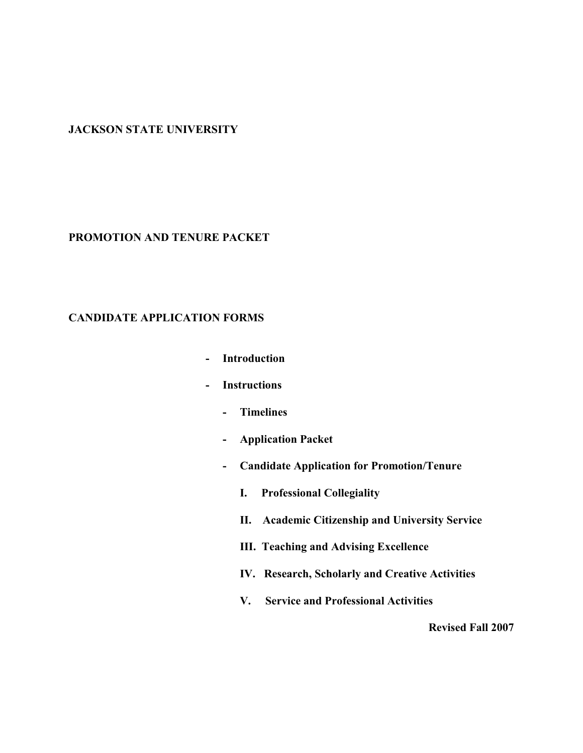#### **JACKSON STATE UNIVERSITY**

#### **PROMOTION AND TENURE PACKET**

#### **CANDIDATE APPLICATION FORMS**

- **- Introduction**
- **- Instructions**
	- **- Timelines**
	- **- Application Packet**
	- **- Candidate Application for Promotion/Tenure**
		- **I. Professional Collegiality**
		- **II. Academic Citizenship and University Service**
		- **III. Teaching and Advising Excellence**
		- **IV. Research, Scholarly and Creative Activities**
		- **V. Service and Professional Activities**

**Revised Fall 2007**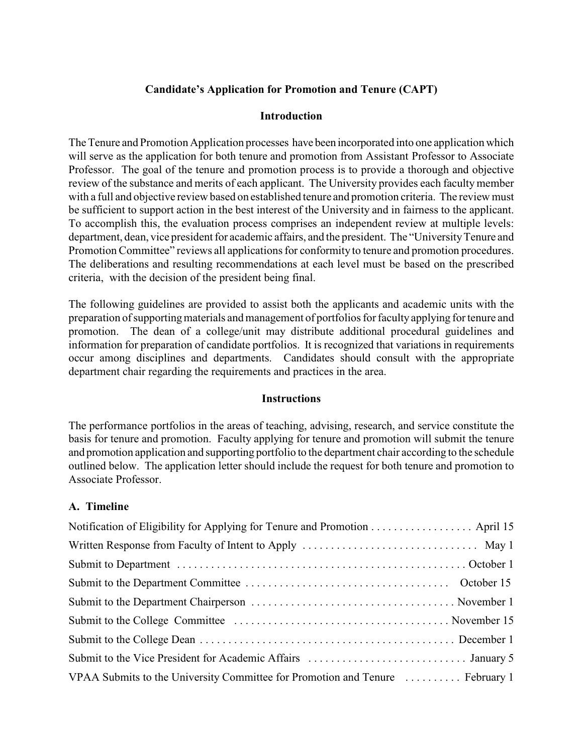## **Candidate's Application for Promotion and Tenure (CAPT)**

#### **Introduction**

The Tenure and Promotion Application processes have been incorporated into one application which will serve as the application for both tenure and promotion from Assistant Professor to Associate Professor. The goal of the tenure and promotion process is to provide a thorough and objective review of the substance and merits of each applicant. The University provides each faculty member with a full and objective review based on established tenure and promotion criteria. The review must be sufficient to support action in the best interest of the University and in fairness to the applicant. To accomplish this, the evaluation process comprises an independent review at multiple levels: department, dean, vice president for academic affairs, and the president. The "University Tenure and Promotion Committee" reviews all applications for conformity to tenure and promotion procedures. The deliberations and resulting recommendations at each level must be based on the prescribed criteria, with the decision of the president being final.

The following guidelines are provided to assist both the applicants and academic units with the preparation of supporting materials and management of portfolios for faculty applying for tenure and promotion. The dean of a college/unit may distribute additional procedural guidelines and information for preparation of candidate portfolios. It is recognized that variations in requirements occur among disciplines and departments. Candidates should consult with the appropriate department chair regarding the requirements and practices in the area.

#### **Instructions**

The performance portfolios in the areas of teaching, advising, research, and service constitute the basis for tenure and promotion. Faculty applying for tenure and promotion will submit the tenure and promotion application and supporting portfolio to the department chair according to the schedule outlined below. The application letter should include the request for both tenure and promotion to Associate Professor.

#### **A. Timeline**

| Notification of Eligibility for Applying for Tenure and Promotion April 15    |
|-------------------------------------------------------------------------------|
|                                                                               |
|                                                                               |
|                                                                               |
|                                                                               |
|                                                                               |
|                                                                               |
|                                                                               |
| VPAA Submits to the University Committee for Promotion and Tenure  February 1 |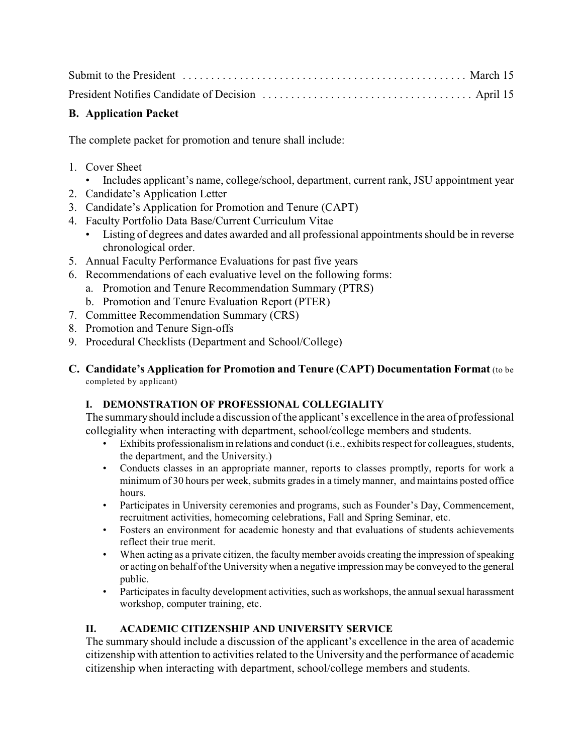# **B. Application Packet**

The complete packet for promotion and tenure shall include:

- 1. Cover Sheet
	- Includes applicant's name, college/school, department, current rank, JSU appointment year
- 2. Candidate's Application Letter
- 3. Candidate's Application for Promotion and Tenure (CAPT)
- 4. Faculty Portfolio Data Base/Current Curriculum Vitae
	- Listing of degrees and dates awarded and all professional appointments should be in reverse chronological order.
- 5. Annual Faculty Performance Evaluations for past five years
- 6. Recommendations of each evaluative level on the following forms:
	- a. Promotion and Tenure Recommendation Summary (PTRS)
	- b. Promotion and Tenure Evaluation Report (PTER)
- 7. Committee Recommendation Summary (CRS)
- 8. Promotion and Tenure Sign-offs
- 9. Procedural Checklists (Department and School/College)
- **C. Candidate's Application for Promotion and Tenure (CAPT) Documentation Format** (to be completed by applicant)

## **I. DEMONSTRATION OF PROFESSIONAL COLLEGIALITY**

The summary should include a discussion of the applicant's excellence in the area of professional collegiality when interacting with department, school/college members and students.

- Exhibits professionalism in relations and conduct (i.e., exhibits respect for colleagues, students, the department, and the University.)
- Conducts classes in an appropriate manner, reports to classes promptly, reports for work a minimum of 30 hours per week, submits grades in a timely manner, and maintains posted office hours.
- Participates in University ceremonies and programs, such as Founder's Day, Commencement, recruitment activities, homecoming celebrations, Fall and Spring Seminar, etc.
- Fosters an environment for academic honesty and that evaluations of students achievements reflect their true merit.
- When acting as a private citizen, the faculty member avoids creating the impression of speaking or acting on behalf of the University when a negative impression may be conveyed to the general public.
- Participates in faculty development activities, such as workshops, the annual sexual harassment workshop, computer training, etc.

## **II. ACADEMIC CITIZENSHIP AND UNIVERSITY SERVICE**

The summary should include a discussion of the applicant's excellence in the area of academic citizenship with attention to activities related to the University and the performance of academic citizenship when interacting with department, school/college members and students.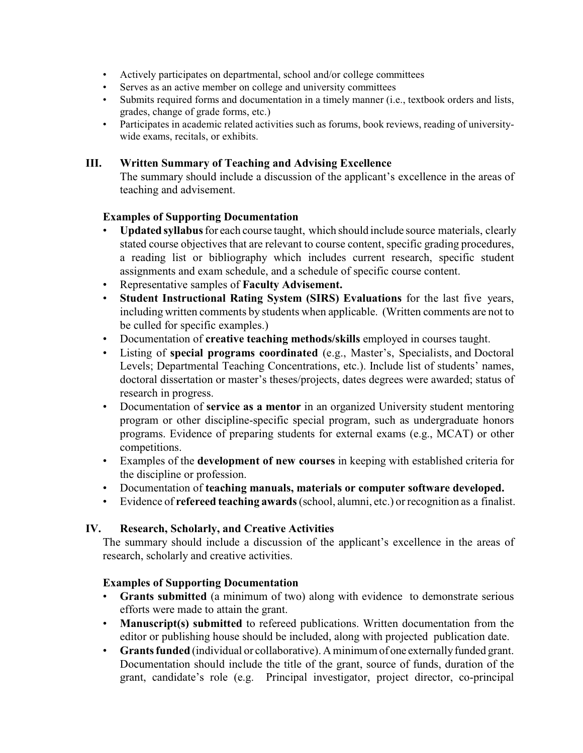- Actively participates on departmental, school and/or college committees
- Serves as an active member on college and university committees
- Submits required forms and documentation in a timely manner (i.e., textbook orders and lists, grades, change of grade forms, etc.)
- Participates in academic related activities such as forums, book reviews, reading of universitywide exams, recitals, or exhibits.

#### **III. Written Summary of Teaching and Advising Excellence**

The summary should include a discussion of the applicant's excellence in the areas of teaching and advisement.

#### **Examples of Supporting Documentation**

- **Updated syllabus**for each course taught, which should include source materials, clearly stated course objectives that are relevant to course content, specific grading procedures, a reading list or bibliography which includes current research, specific student assignments and exam schedule, and a schedule of specific course content.
- Representative samples of **Faculty Advisement.**
- **Student Instructional Rating System (SIRS) Evaluations** for the last five years, including written comments by students when applicable. (Written comments are not to be culled for specific examples.)
- Documentation of **creative teaching methods/skills** employed in courses taught.
- Listing of **special programs coordinated** (e.g., Master's, Specialists, and Doctoral Levels; Departmental Teaching Concentrations, etc.). Include list of students' names, doctoral dissertation or master's theses/projects, dates degrees were awarded; status of research in progress.
- Documentation of **service as a mentor** in an organized University student mentoring program or other discipline-specific special program, such as undergraduate honors programs. Evidence of preparing students for external exams (e.g., MCAT) or other competitions.
- Examples of the **development of new courses** in keeping with established criteria for the discipline or profession.
- Documentation of **teaching manuals, materials or computer software developed.**
- Evidence of **refereed teaching awards** (school, alumni, etc.) or recognition as a finalist.

#### **IV. Research, Scholarly, and Creative Activities**

The summary should include a discussion of the applicant's excellence in the areas of research, scholarly and creative activities.

#### **Examples of Supporting Documentation**

- **Grants submitted** (a minimum of two) along with evidence to demonstrate serious efforts were made to attain the grant.
- **Manuscript(s) submitted** to refereed publications. Written documentation from the editor or publishing house should be included, along with projected publication date.
- **Grants funded** (individual or collaborative). A minimum of one externally funded grant. Documentation should include the title of the grant, source of funds, duration of the grant, candidate's role (e.g. Principal investigator, project director, co-principal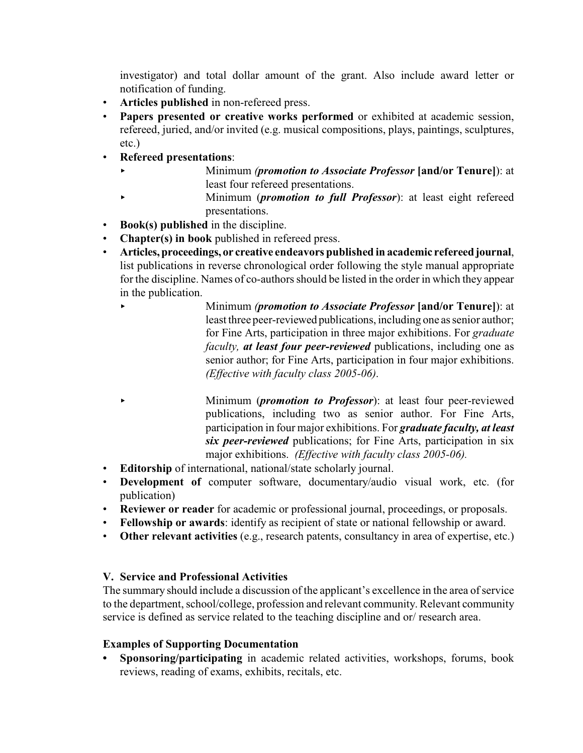investigator) and total dollar amount of the grant. Also include award letter or notification of funding.

- **Articles published** in non-refereed press.
- **Papers presented or creative works performed** or exhibited at academic session, refereed, juried, and/or invited (e.g. musical compositions, plays, paintings, sculptures, etc.)
- **Refereed presentations**:
	- < Minimum *(promotion to Associate Professor* **[and/or Tenure]**): at least four refereed presentations.
	- < Minimum (*promotion to full Professor*): at least eight refereed presentations.
- **Book(s) published** in the discipline.
- **Chapter(s) in book** published in refereed press.
- **Articles, proceedings, or creative endeavors published in academic refereed journal**, list publications in reverse chronological order following the style manual appropriate for the discipline. Names of co-authors should be listed in the order in which they appear in the publication.
	- < Minimum *(promotion to Associate Professor* **[and/or Tenure]**): at least three peer-reviewed publications, including one as senior author; for Fine Arts, participation in three major exhibitions. For *graduate faculty, at least four peer-reviewed* publications, including one as senior author; for Fine Arts, participation in four major exhibitions. *(Effective with faculty class 2005-06)*.
	- < Minimum (*promotion to Professor*): at least four peer-reviewed publications, including two as senior author. For Fine Arts, participation in four major exhibitions. For *graduate faculty, at least six peer-reviewed* publications; for Fine Arts, participation in six major exhibitions. *(Effective with faculty class 2005-06).*
- **Editorship** of international, national/state scholarly journal.
- **Development of** computer software, documentary/audio visual work, etc. (for publication)
- **Reviewer or reader** for academic or professional journal, proceedings, or proposals.
- **Fellowship or awards**: identify as recipient of state or national fellowship or award.
- **Other relevant activities** (e.g., research patents, consultancy in area of expertise, etc.)

## **V. Service and Professional Activities**

The summary should include a discussion of the applicant's excellence in the area of service to the department, school/college, profession and relevant community. Relevant community service is defined as service related to the teaching discipline and or/ research area.

## **Examples of Supporting Documentation**

**• Sponsoring/participating** in academic related activities, workshops, forums, book reviews, reading of exams, exhibits, recitals, etc.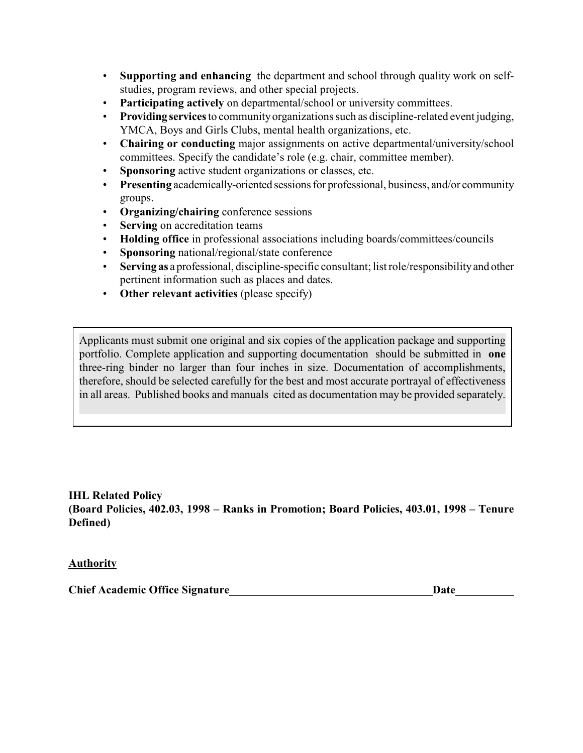- **Supporting and enhancing** the department and school through quality work on selfstudies, program reviews, and other special projects.
- **Participating actively** on departmental/school or university committees.
- **Providing services** to community organizations such as discipline-related event judging, YMCA, Boys and Girls Clubs, mental health organizations, etc.
- **Chairing or conducting** major assignments on active departmental/university/school committees. Specify the candidate's role (e.g. chair, committee member).
- **Sponsoring** active student organizations or classes, etc.
- **Presenting** academically-oriented sessions for professional, business, and/or community groups.
- **Organizing/chairing** conference sessions
- **Serving** on accreditation teams
- **Holding office** in professional associations including boards/committees/councils
- **Sponsoring** national/regional/state conference
- **Serving as** a professional, discipline-specific consultant; list role/responsibility and other pertinent information such as places and dates.
- **Other relevant activities** (please specify)

Applicants must submit one original and six copies of the application package and supporting portfolio. Complete application and supporting documentation should be submitted in **one** three-ring binder no larger than four inches in size. Documentation of accomplishments, therefore, should be selected carefully for the best and most accurate portrayal of effectiveness in all areas. Published books and manuals cited as documentation may be provided separately.

**IHL Related Policy (Board Policies, 402.03, 1998 – Ranks in Promotion; Board Policies, 403.01, 1998 – Tenure Defined)**

## **Authority**

**Chief Academic Office Signature Date**  Date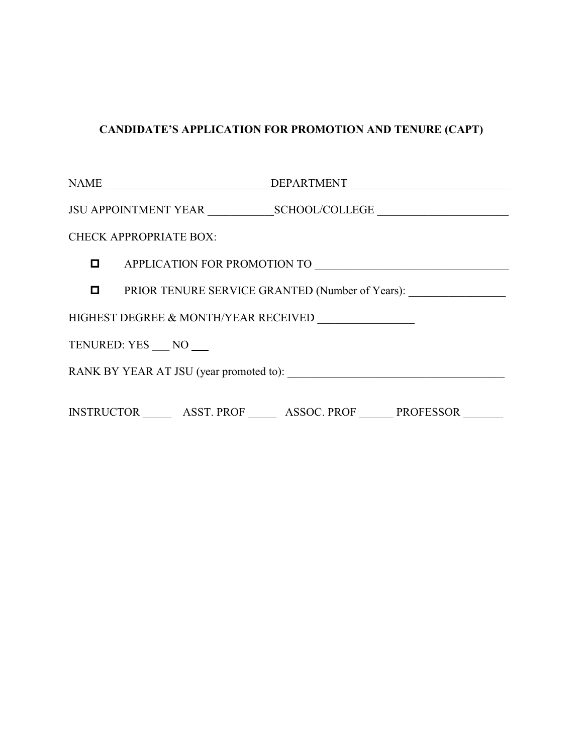# **CANDIDATE'S APPLICATION FOR PROMOTION AND TENURE (CAPT)**

|                                      | NAME _______________________________DEPARTMENT _________________________________ |  |  |  |  |  |
|--------------------------------------|----------------------------------------------------------------------------------|--|--|--|--|--|
|                                      |                                                                                  |  |  |  |  |  |
|                                      | <b>CHECK APPROPRIATE BOX:</b>                                                    |  |  |  |  |  |
|                                      |                                                                                  |  |  |  |  |  |
|                                      | <b>D</b> PRIOR TENURE SERVICE GRANTED (Number of Years):                         |  |  |  |  |  |
| HIGHEST DEGREE & MONTH/YEAR RECEIVED |                                                                                  |  |  |  |  |  |
| TENURED: YES NO                      |                                                                                  |  |  |  |  |  |
|                                      |                                                                                  |  |  |  |  |  |
|                                      | INSTRUCTOR _________ ASST. PROF _________ ASSOC. PROF ________ PROFESSOR _______ |  |  |  |  |  |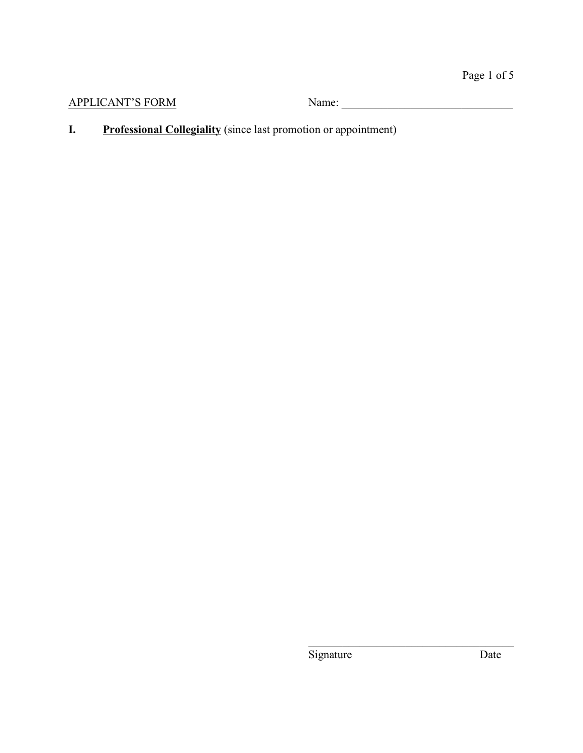**I.** Professional Collegiality (since last promotion or appointment)

Signature Date

\_\_\_\_\_\_\_\_\_\_\_\_\_\_\_\_\_\_\_\_\_\_\_\_\_\_\_\_\_\_\_\_\_\_\_\_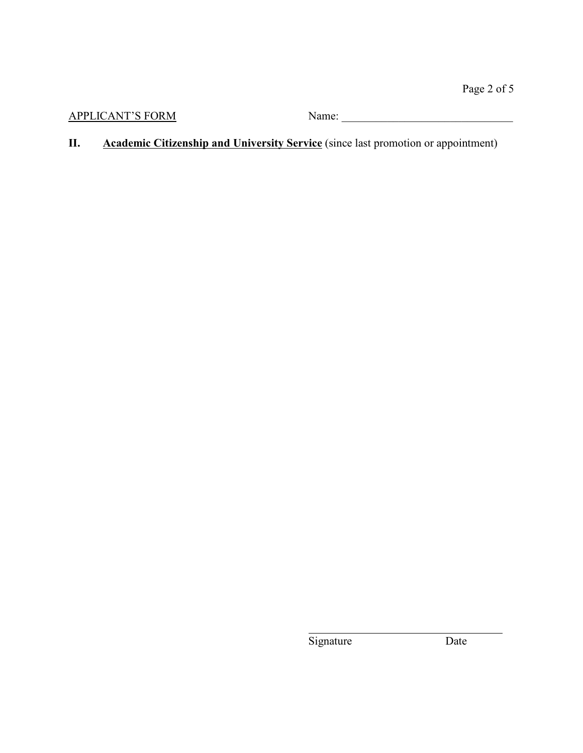APPLICANT'S FORM Name:

**II. Academic Citizenship and University Service** (since last promotion or appointment)

Signature Date

 $\overline{a}$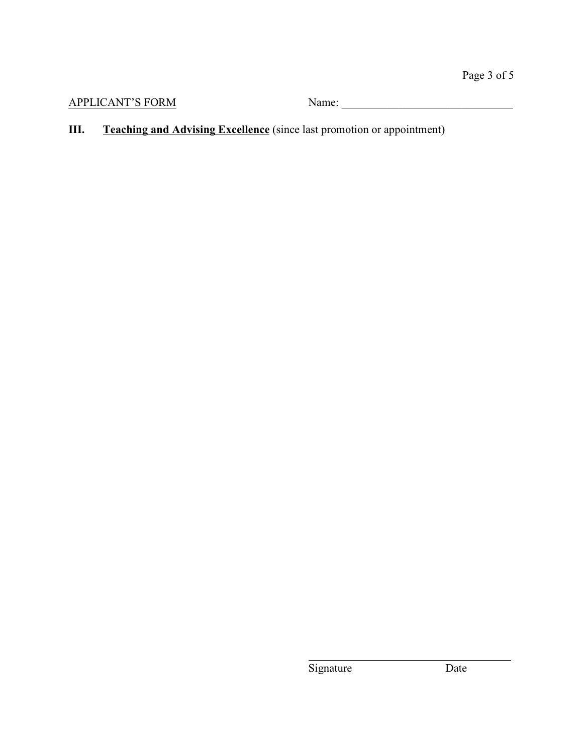**III. Teaching and Advising Excellence** (since last promotion or appointment)

Signature Date

 $\overline{a}$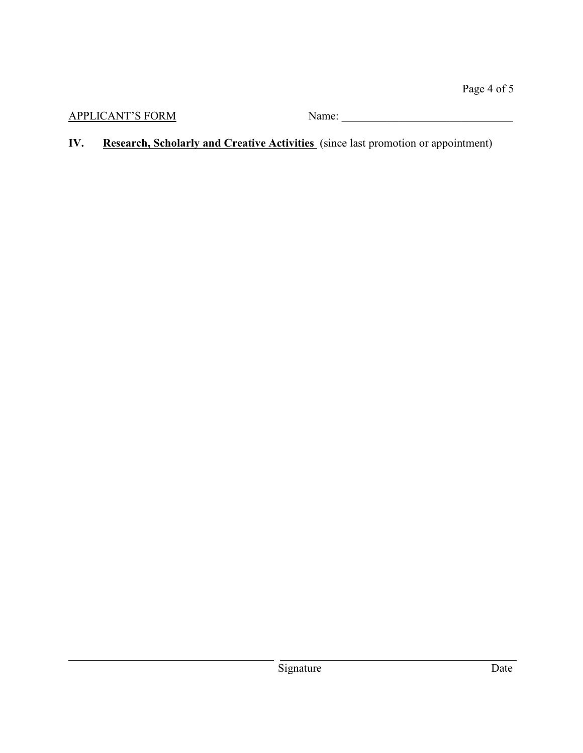**IV. Research, Scholarly and Creative Activities** (since last promotion or appointment)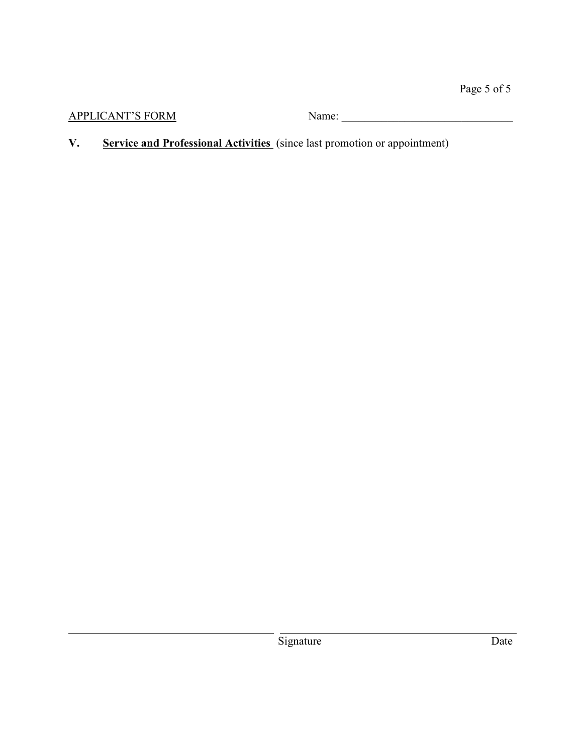**V. Service and Professional Activities** (since last promotion or appointment)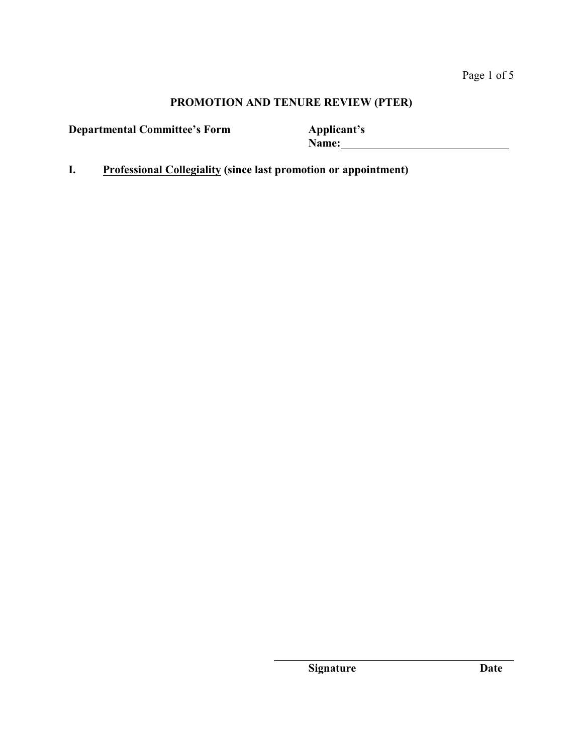**Departmental Committee's Form Applicant's**

**Name:** 

**I. Professional Collegiality (since last promotion or appointment)**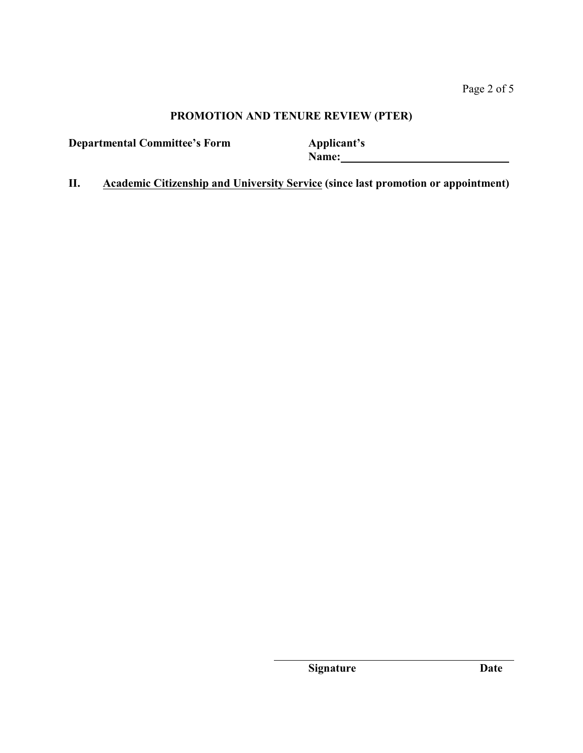**Departmental Committee's Form Applicant's**

**Name:** 

**II. Academic Citizenship and University Service (since last promotion or appointment)**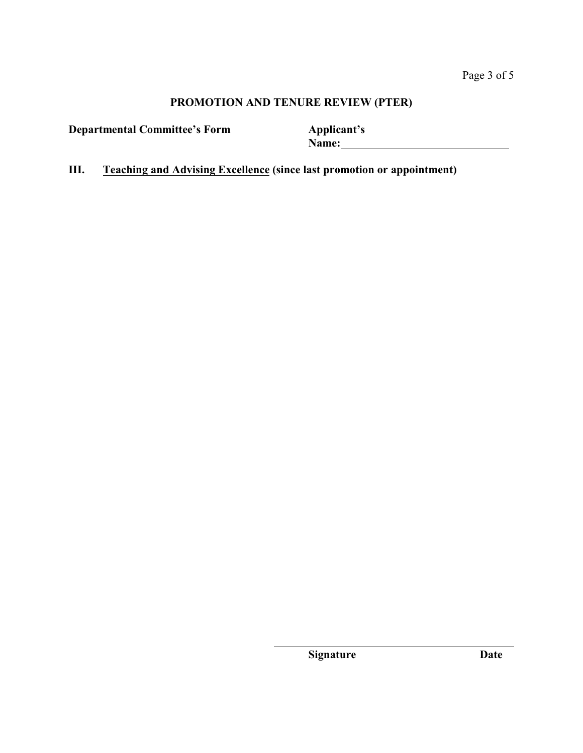**Departmental Committee's Form Applicant's**

**Name:** 

**III. Teaching and Advising Excellence (since last promotion or appointment)**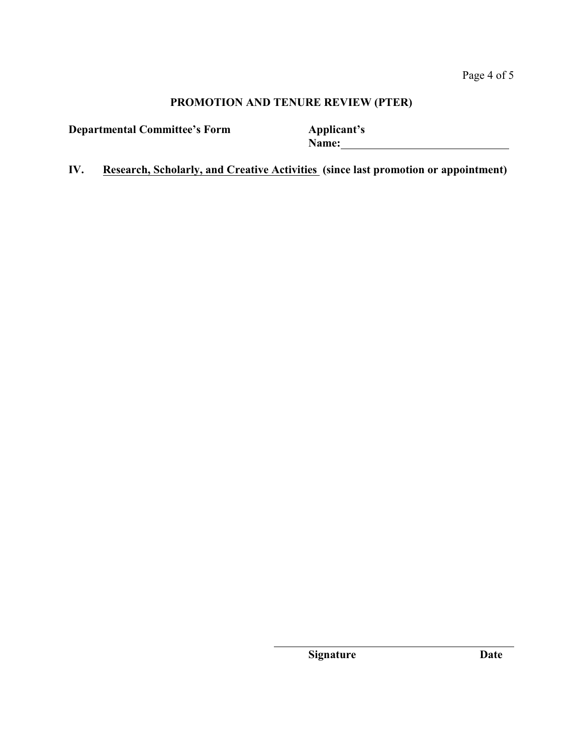**Departmental Committee's Form Applicant's**

**Name:** 

**IV. Research, Scholarly, and Creative Activities (since last promotion or appointment)**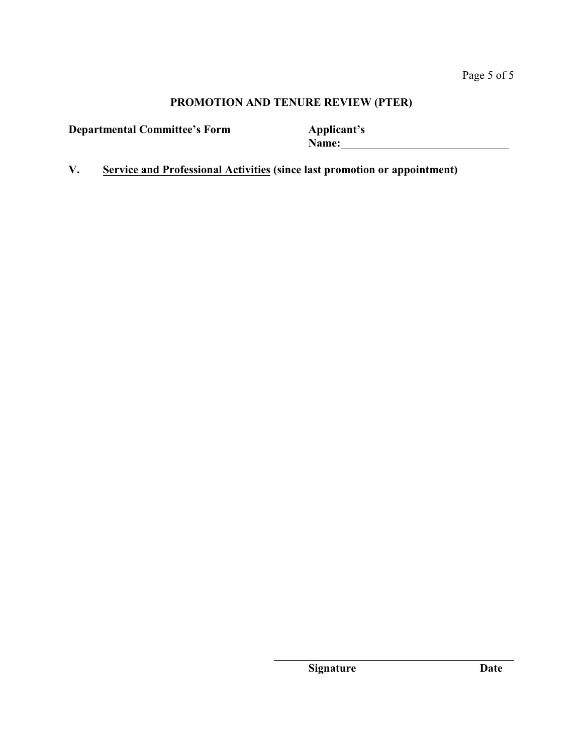**Departmental Committee's Form Applicant's**

**Name:** 

**V. Service and Professional Activities (since last promotion or appointment)**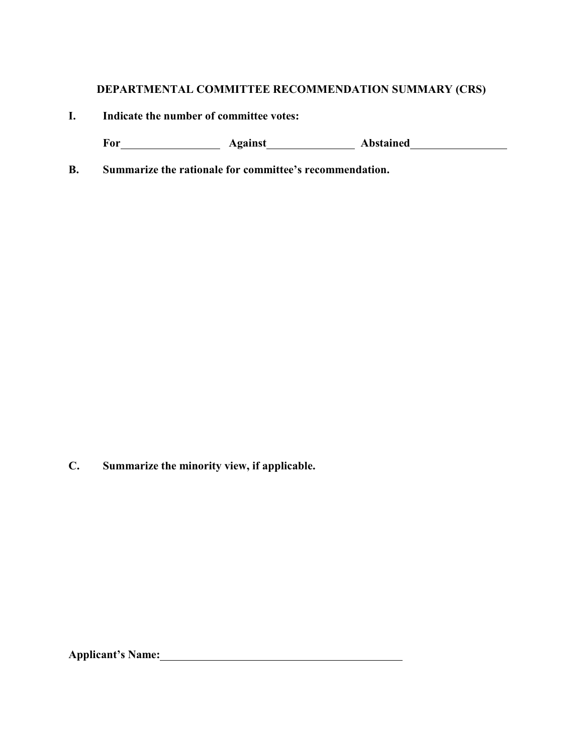# **DEPARTMENTAL COMMITTEE RECOMMENDATION SUMMARY (CRS)**

**I. Indicate the number of committee votes:**

For Against Against Abstained **Abstained** 

**B. Summarize the rationale for committee's recommendation.**

**C. Summarize the minority view, if applicable.**

**Applicant's Name:**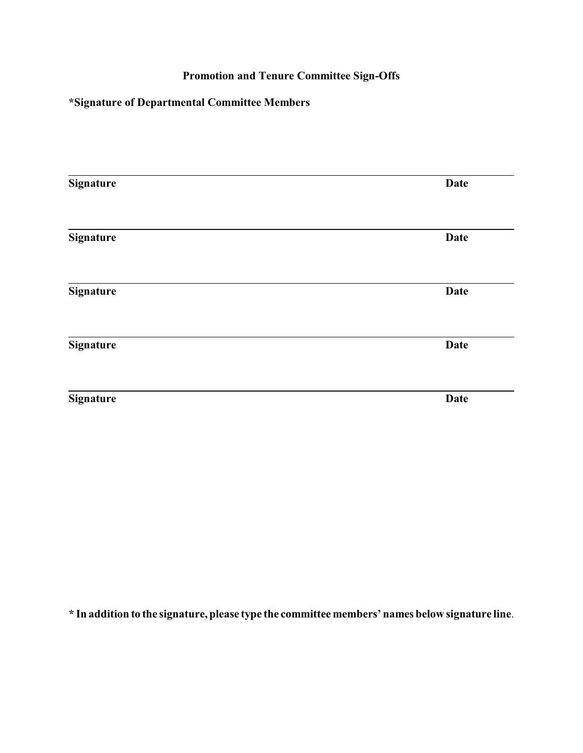# **Promotion and Tenure Committee Sign-Offs**

# **\*Signature of Departmental Committee Members**

| <b>Signature</b> | <b>Date</b> |
|------------------|-------------|
| <b>Signature</b> | <b>Date</b> |
| <b>Signature</b> | <b>Date</b> |
| <b>Signature</b> | <b>Date</b> |
| <b>Signature</b> | <b>Date</b> |

**\* In addition to the signature, please type the committee members' names below signature line**.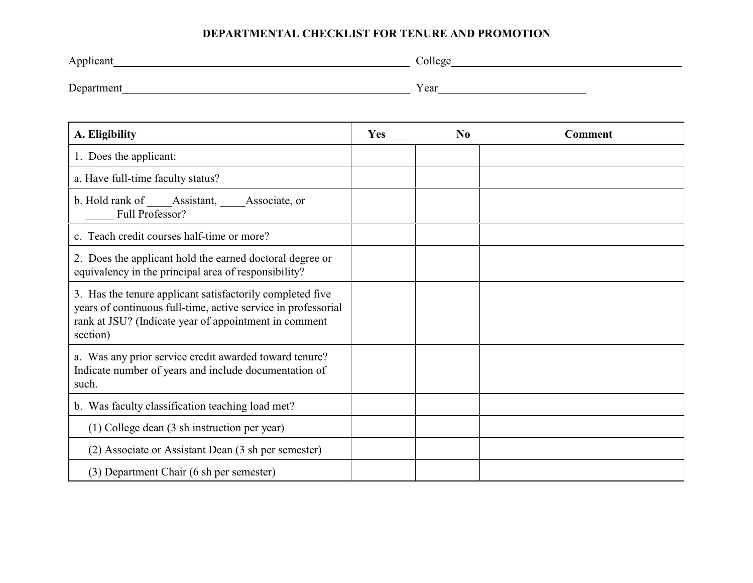## **DEPARTMENTAL CHECKLIST FOR TENURE AND PROMOTION**

| Applicant<br>. . | .) ollege<br><u>.</u> |
|------------------|-----------------------|
|                  |                       |
| Department       | Year                  |

| A. Eligibility                                                                                                                                                                                  | Yes | No | <b>Comment</b> |
|-------------------------------------------------------------------------------------------------------------------------------------------------------------------------------------------------|-----|----|----------------|
| 1. Does the applicant:                                                                                                                                                                          |     |    |                |
| a. Have full-time faculty status?                                                                                                                                                               |     |    |                |
| b. Hold rank of Assistant,<br>Associate, or<br>Full Professor?                                                                                                                                  |     |    |                |
| c. Teach credit courses half-time or more?                                                                                                                                                      |     |    |                |
| 2. Does the applicant hold the earned doctoral degree or<br>equivalency in the principal area of responsibility?                                                                                |     |    |                |
| 3. Has the tenure applicant satisfactorily completed five<br>years of continuous full-time, active service in professorial<br>rank at JSU? (Indicate year of appointment in comment<br>section) |     |    |                |
| a. Was any prior service credit awarded toward tenure?<br>Indicate number of years and include documentation of<br>such.                                                                        |     |    |                |
| b. Was faculty classification teaching load met?                                                                                                                                                |     |    |                |
| (1) College dean (3 sh instruction per year)                                                                                                                                                    |     |    |                |
| (2) Associate or Assistant Dean (3 sh per semester)                                                                                                                                             |     |    |                |
| (3) Department Chair (6 sh per semester)                                                                                                                                                        |     |    |                |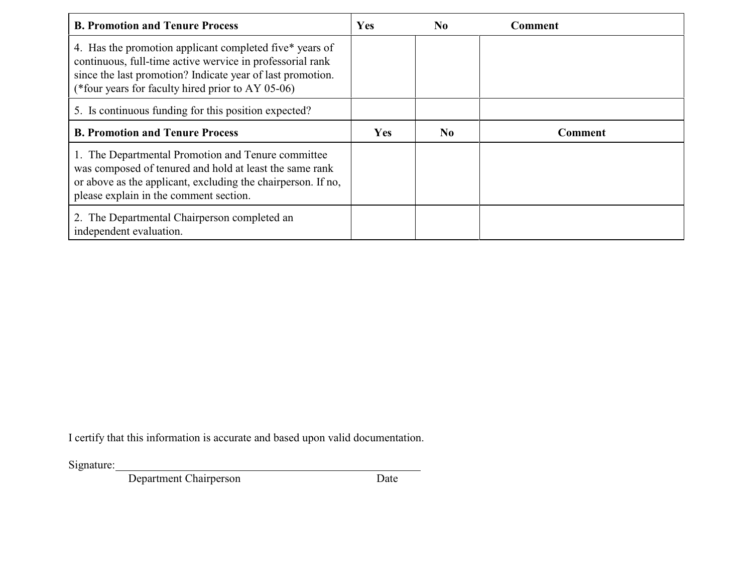| <b>B. Promotion and Tenure Process</b>                                                                                                                                                                                                  | <b>Yes</b> | N <sub>0</sub> | Comment        |
|-----------------------------------------------------------------------------------------------------------------------------------------------------------------------------------------------------------------------------------------|------------|----------------|----------------|
| 4. Has the promotion applicant completed five* years of<br>continuous, full-time active wervice in professorial rank<br>since the last promotion? Indicate year of last promotion.<br>(*four years for faculty hired prior to AY 05-06) |            |                |                |
| 5. Is continuous funding for this position expected?                                                                                                                                                                                    |            |                |                |
| <b>B. Promotion and Tenure Process</b>                                                                                                                                                                                                  | <b>Yes</b> | N <sub>0</sub> | <b>Comment</b> |
| 1. The Departmental Promotion and Tenure committee<br>was composed of tenured and hold at least the same rank<br>or above as the applicant, excluding the chairperson. If no,<br>please explain in the comment section.                 |            |                |                |
| 2. The Departmental Chairperson completed an<br>independent evaluation.                                                                                                                                                                 |            |                |                |

I certify that this information is accurate and based upon valid documentation.

Signature:

Department Chairperson Date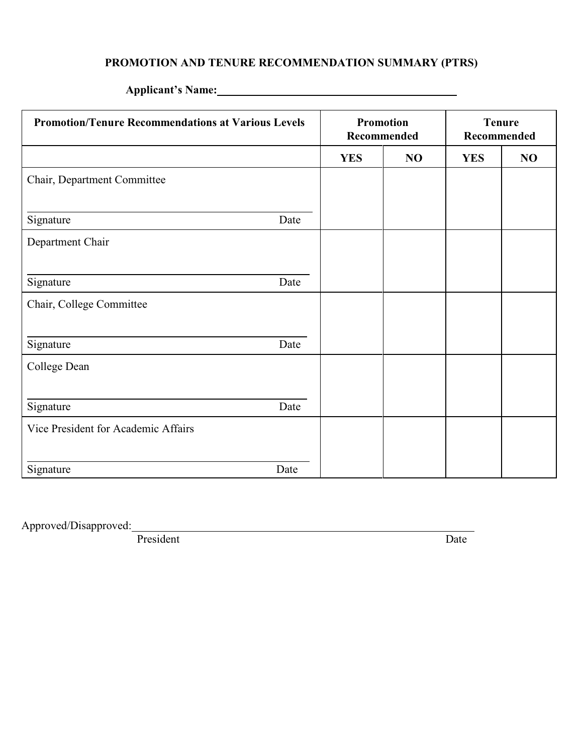# **PROMOTION AND TENURE RECOMMENDATION SUMMARY (PTRS)**

| <b>Promotion/Tenure Recommendations at Various Levels</b> |      | <b>Promotion</b><br>Recommended |    | <b>Tenure</b><br>Recommended |    |
|-----------------------------------------------------------|------|---------------------------------|----|------------------------------|----|
|                                                           |      | <b>YES</b>                      | NO | <b>YES</b>                   | NO |
| Chair, Department Committee                               |      |                                 |    |                              |    |
|                                                           |      |                                 |    |                              |    |
| Signature                                                 | Date |                                 |    |                              |    |
| Department Chair                                          |      |                                 |    |                              |    |
|                                                           |      |                                 |    |                              |    |
| Signature                                                 | Date |                                 |    |                              |    |
| Chair, College Committee                                  |      |                                 |    |                              |    |
|                                                           |      |                                 |    |                              |    |
| Signature                                                 | Date |                                 |    |                              |    |
| College Dean                                              |      |                                 |    |                              |    |
|                                                           |      |                                 |    |                              |    |
| Signature                                                 | Date |                                 |    |                              |    |
| Vice President for Academic Affairs                       |      |                                 |    |                              |    |
|                                                           |      |                                 |    |                              |    |
| Signature                                                 | Date |                                 |    |                              |    |

# **Applicant's Name:**

Approved/Disapproved:

President Date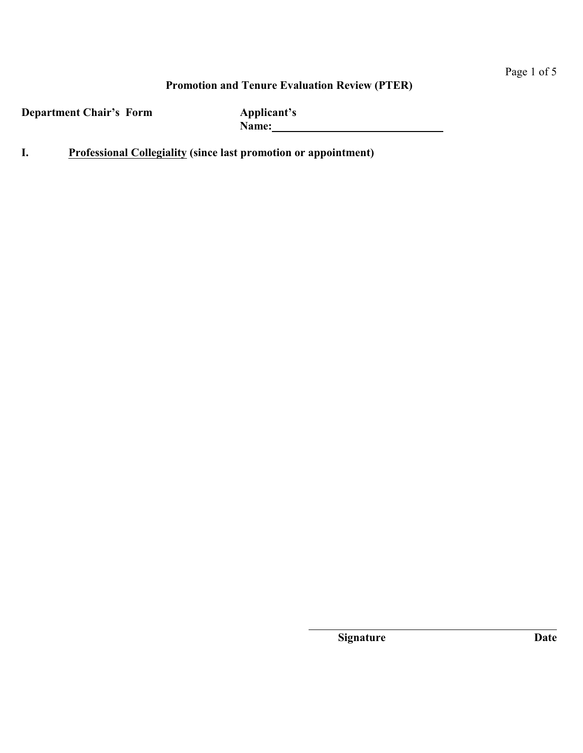## **Promotion and Tenure Evaluation Review (PTER)**

**Department Chair's Form Applicant's**

**Name:** 

**I. Professional Collegiality (since last promotion or appointment)**

**Signature Date**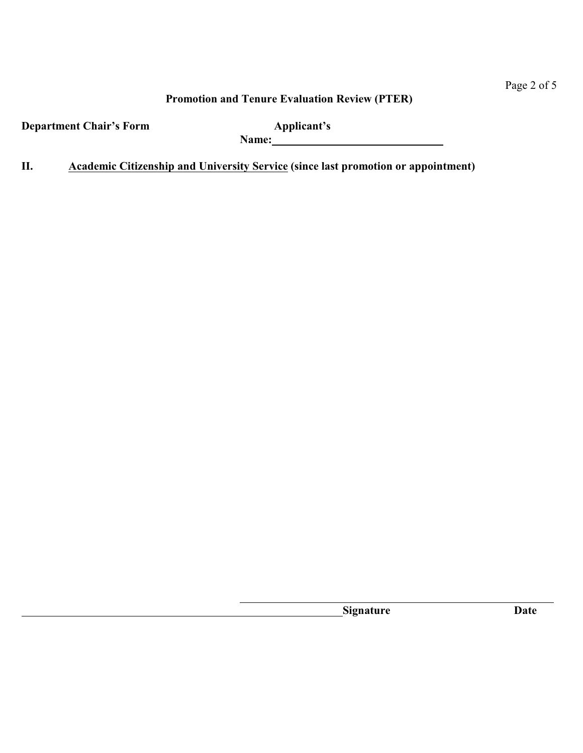# Page 2 of 5

## **Promotion and Tenure Evaluation Review (PTER)**

**Department Chair's Form <b>Applicant's** 

**Name:** 

**II. Academic Citizenship and University Service (since last promotion or appointment)**

**Signature Date**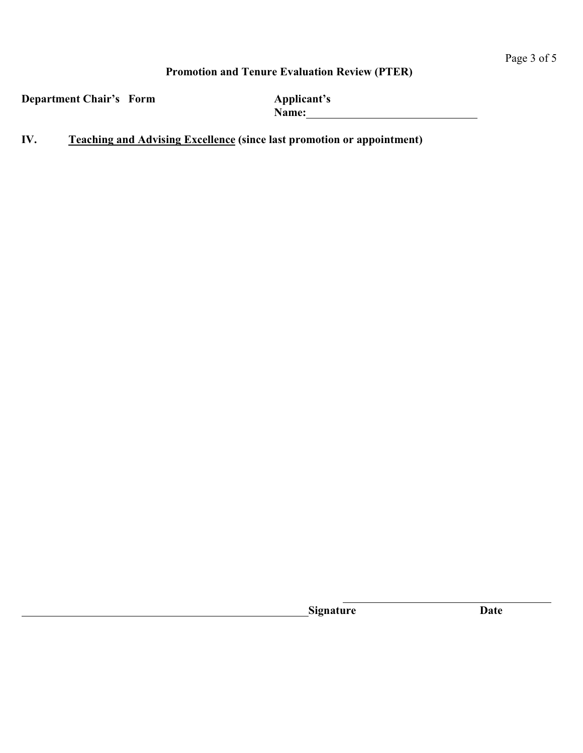# **Promotion and Tenure Evaluation Review (PTER)**

**Department Chair's Form <b>Applicant's** 

**Name:** 

**IV. Teaching and Advising Excellence (since last promotion or appointment)**

**Signature Date**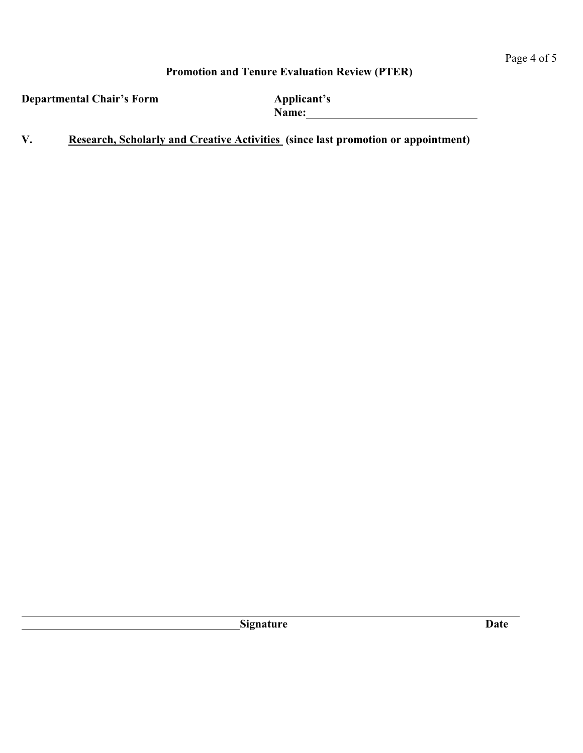# **Promotion and Tenure Evaluation Review (PTER)**

**Departmental Chair's Form <b>Applicant's** 

**Name:** 

**V. Research, Scholarly and Creative Activities (since last promotion or appointment)**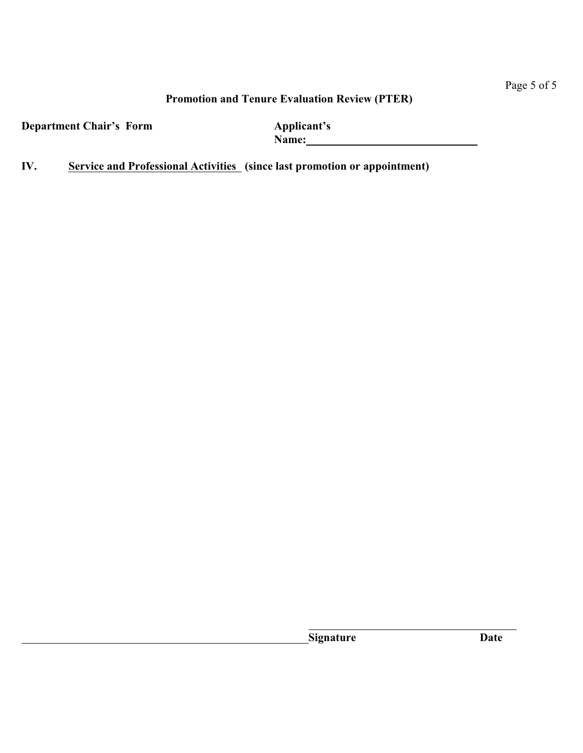# Page 5 of 5

## **Promotion and Tenure Evaluation Review (PTER)**

**Department Chair's Form <b>Applicant's** 

**Name:** 

**IV. Service and Professional Activities (since last promotion or appointment)**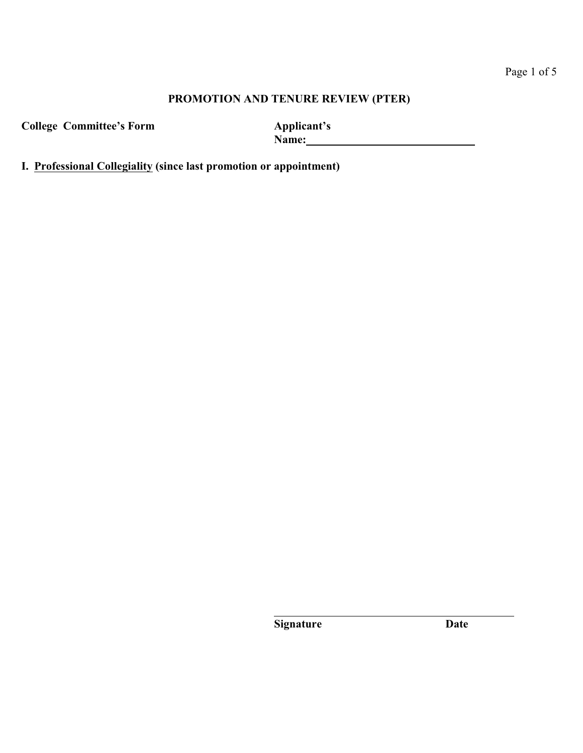**College Committee's Form Applicant's**

Name: <u>**Name: Name: Name: Name: Name: Name: Name: Name: Name: Name: Name: Name: Name: Name: Name: Name: Name: Name: Name: N**</u>

**I. Professional Collegiality (since last promotion or appointment)**

**Signature Date**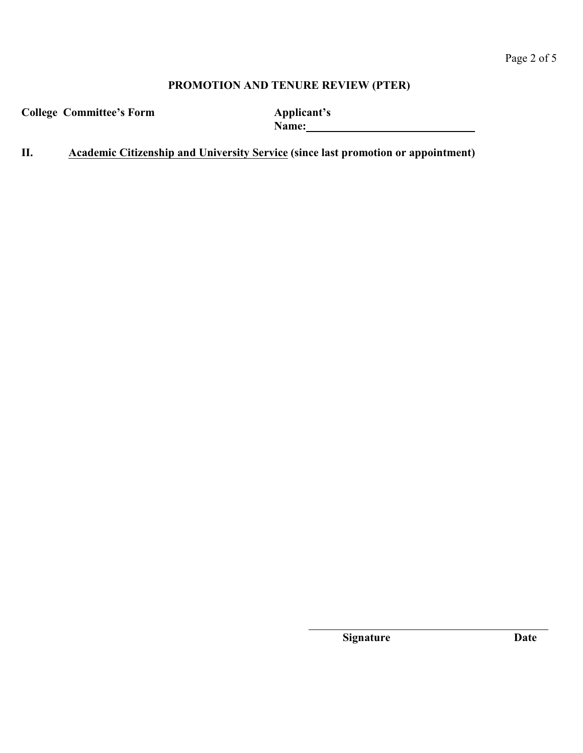**College Committee's Form Applicant's**

Name: <u>**Name: Name: Name: Name: Name: Name: Name: Name: Name: Name: Name: Name: Name: Name: N**</u>

**II. Academic Citizenship and University Service (since last promotion or appointment)**

**Signature Date**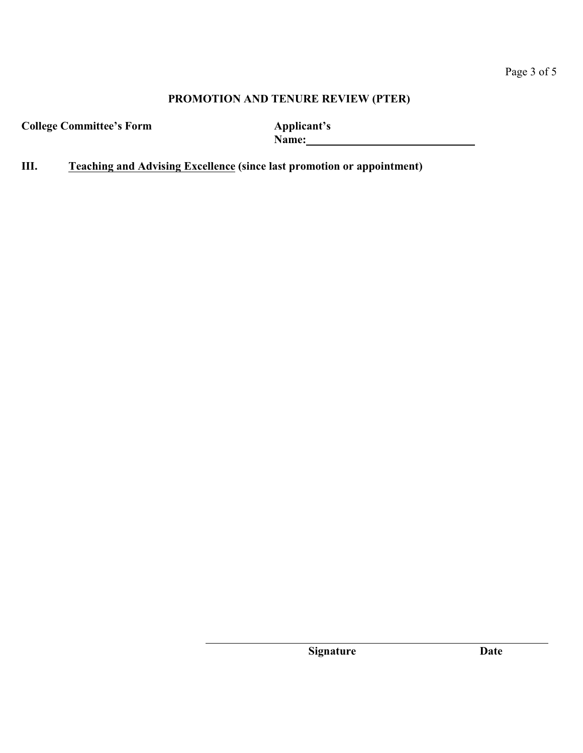**College Committee's Form Applicant's**

**Name:** 

**III. Teaching and Advising Excellence (since last promotion or appointment)** 

**Signature Date**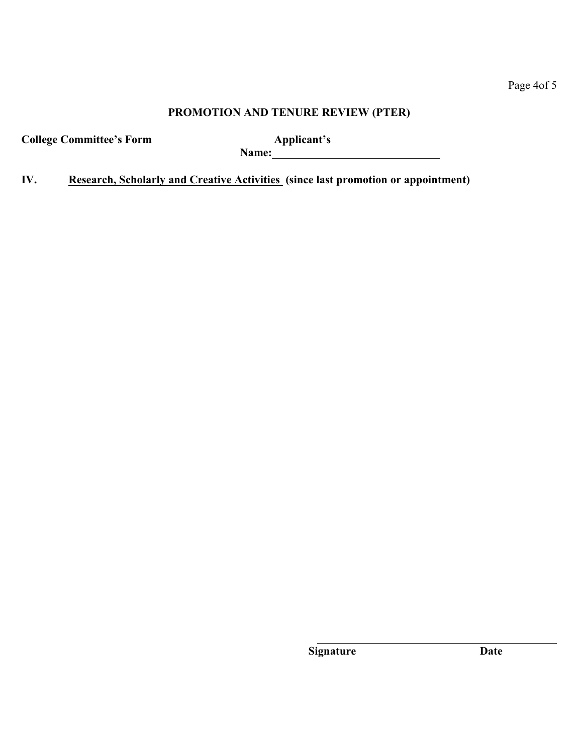**College Committee's Form Applicant's**

**Name:** 

**IV. Research, Scholarly and Creative Activities (since last promotion or appointment)** 

**Signature Date**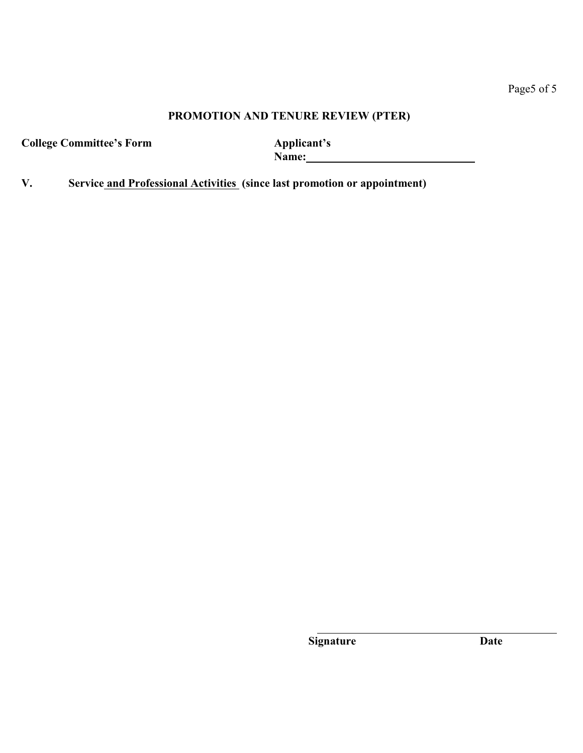# Page5 of 5

## **PROMOTION AND TENURE REVIEW (PTER)**

**College Committee's Form** 

**Name:** 

**V. Service and Professional Activities (since last promotion or appointment)** 

**Signature Date**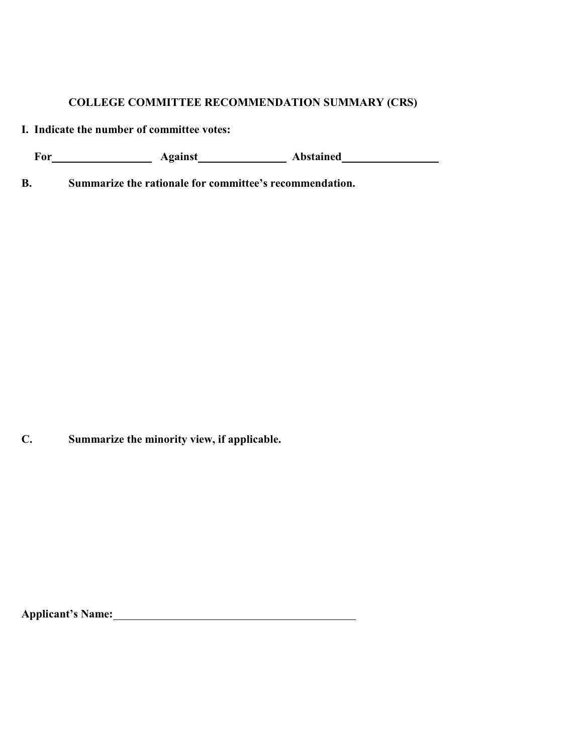## **COLLEGE COMMITTEE RECOMMENDATION SUMMARY (CRS)**

**I. Indicate the number of committee votes:**

For Against Abstained

**B. Summarize the rationale for committee's recommendation.**

**C. Summarize the minority view, if applicable.**

**Applicant's Name:**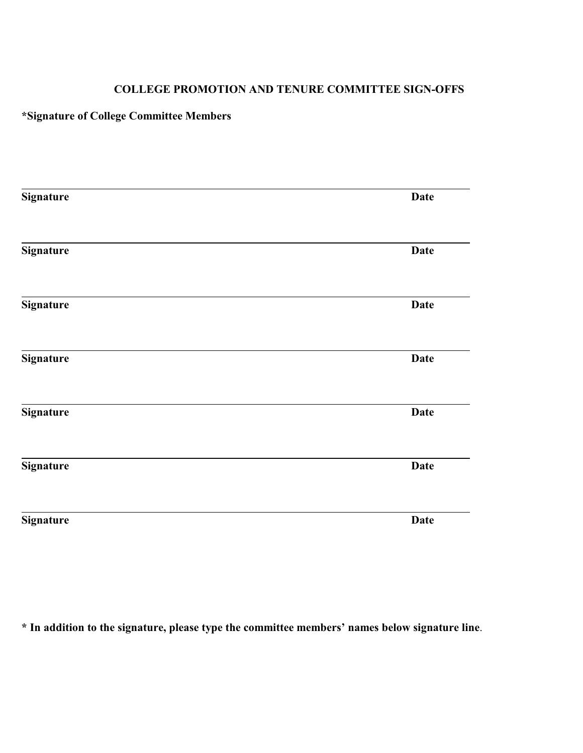## **COLLEGE PROMOTION AND TENURE COMMITTEE SIGN-OFFS**

# **\*Signature of College Committee Members**

| <b>Signature</b> | <b>Date</b> |
|------------------|-------------|
|                  |             |
| <b>Signature</b> | <b>Date</b> |
| Signature        | <b>Date</b> |
| <b>Signature</b> | <b>Date</b> |
| Signature        | <b>Date</b> |
| Signature        | <b>Date</b> |
| <b>Signature</b> | <b>Date</b> |

**\* In addition to the signature, please type the committee members' names below signature line**.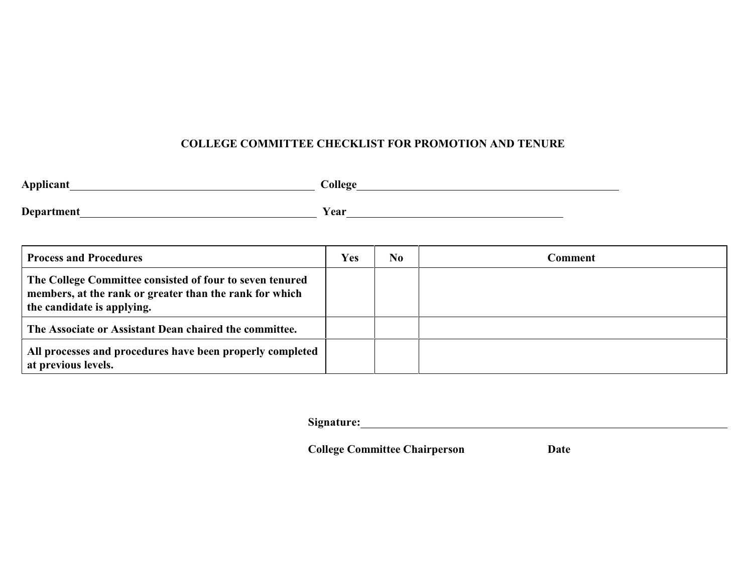# **COLLEGE COMMITTEE CHECKLIST FOR PROMOTION AND TENURE**

| Applicant                                                                                                                                         | College    |     |                |
|---------------------------------------------------------------------------------------------------------------------------------------------------|------------|-----|----------------|
| Department                                                                                                                                        | Year       |     |                |
| <b>Process and Procedures</b>                                                                                                                     | <b>Yes</b> | No. | <b>Comment</b> |
| The College Committee consisted of four to seven tenured<br>members, at the rank or greater than the rank for which<br>the candidate is applying. |            |     |                |
| The Associate or Assistant Dean chaired the committee.                                                                                            |            |     |                |
| All processes and procedures have been properly completed<br>at previous levels.                                                                  |            |     |                |

Signature: <u>contained</u> and the set of the set of the set of the set of the set of the set of the set of the set of the set of the set of the set of the set of the set of the set of the set of the set of the set of the set

**College Committee Chairperson Date**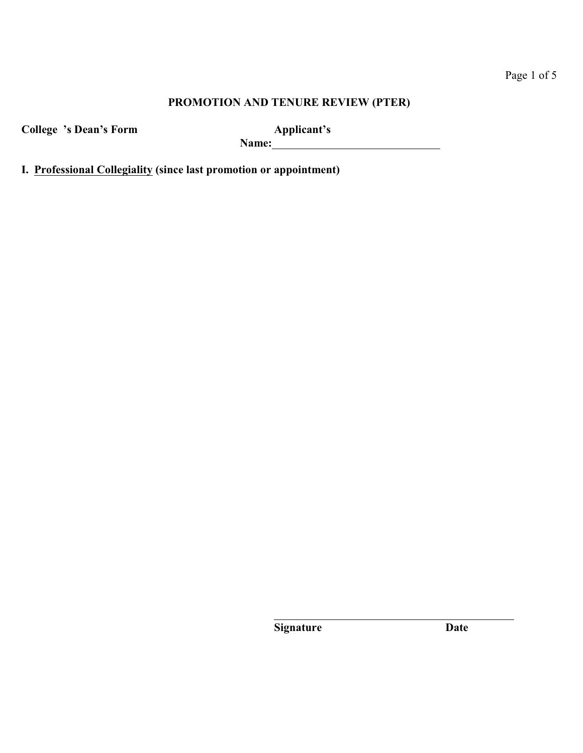**College 's Dean's Form Applicant's**

**Name:** 

**I. Professional Collegiality (since last promotion or appointment)**

**Signature Date**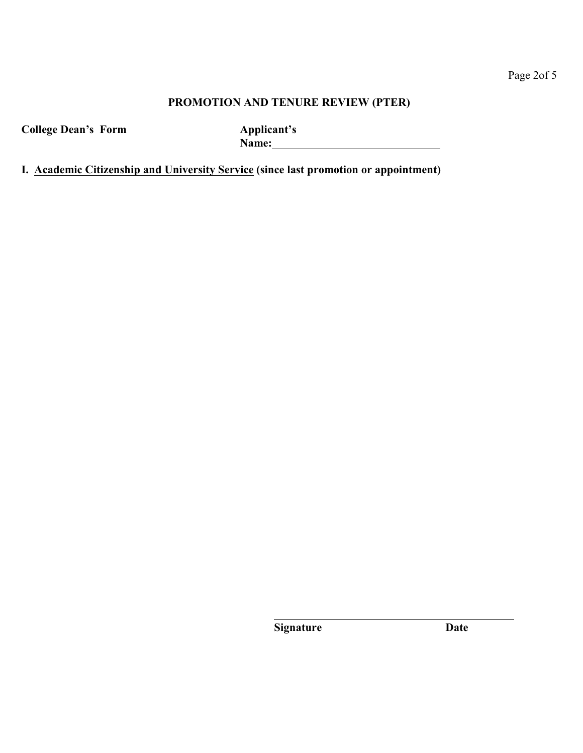**College Dean's Form Applicant's**

Name: <u>2008 - 2008 - 2008 - 2008 - 2008 - 2008 - 2008 - 2008 - 2008 - 2008 - 2008 - 2008 - 2008 - 2008 - 2008 - 2008 - 2008 - 2008 - 2008 - 2008 - 2008 - 2008 - 2008 - 2008 - 2008 - 2008 - 2008 - 2008 - 2008 - 2008 - 2008 </u>

**I. Academic Citizenship and University Service (since last promotion or appointment)**

**Signature Date**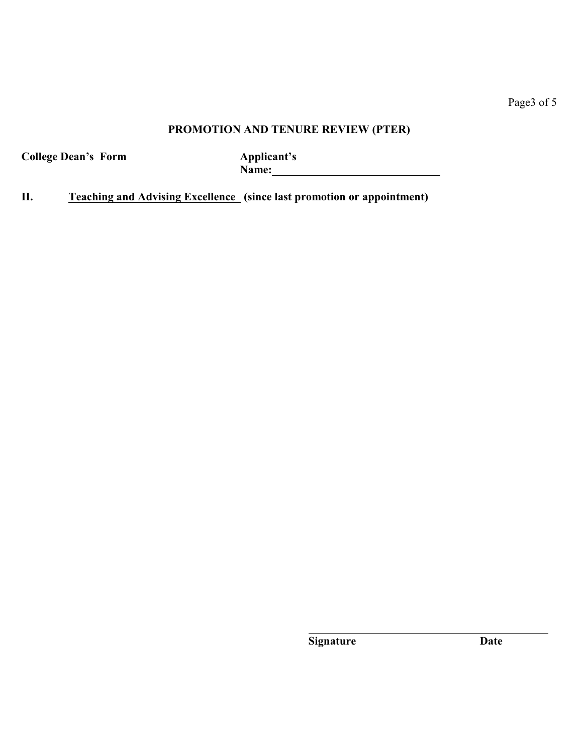Page3 of 5

# **PROMOTION AND TENURE REVIEW (PTER)**

**College Dean's Form Applicant's**

Name: <u> 1980 - Johann Barbara, martxa a</u>

**II. Teaching and Advising Excellence (since last promotion or appointment)**

**Signature Date**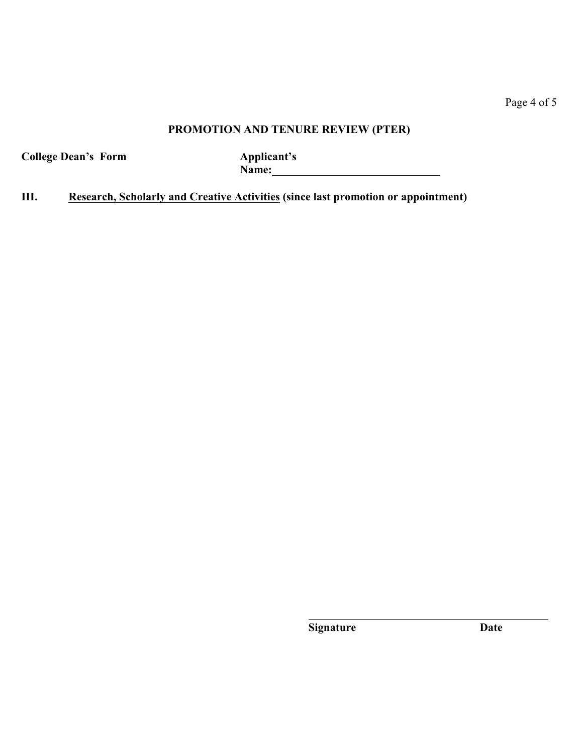Page 4 of 5

# **PROMOTION AND TENURE REVIEW (PTER)**

**College Dean's Form Applicant's**

Name: 

**III. Research, Scholarly and Creative Activities (since last promotion or appointment)**

**Signature Date**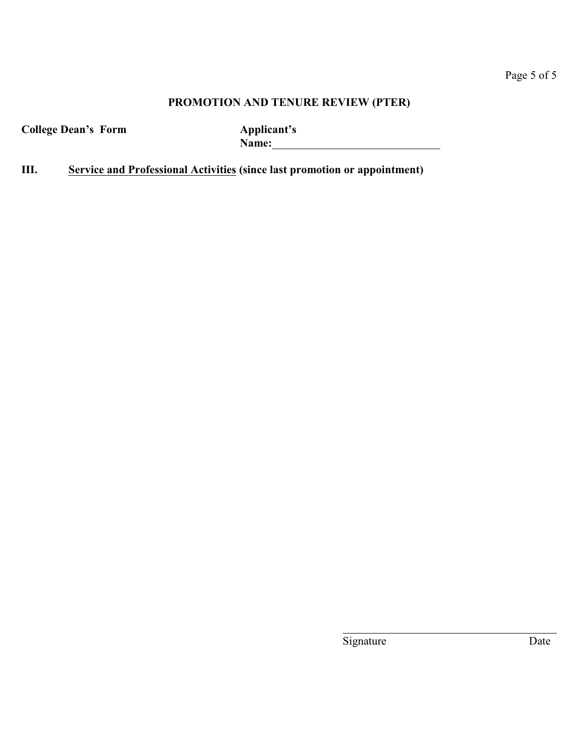**College Dean's Form Applicant's**

**Name:** <u>Name:</u> **Name: Name: Name: Name: Name: Name: Name: Name: Name: Name: Name: Name: Name: Name: Name: Name: Name: Name: Name: Name: N** 

**III. Service and Professional Activities (since last promotion or appointment)**

Signature Date

l